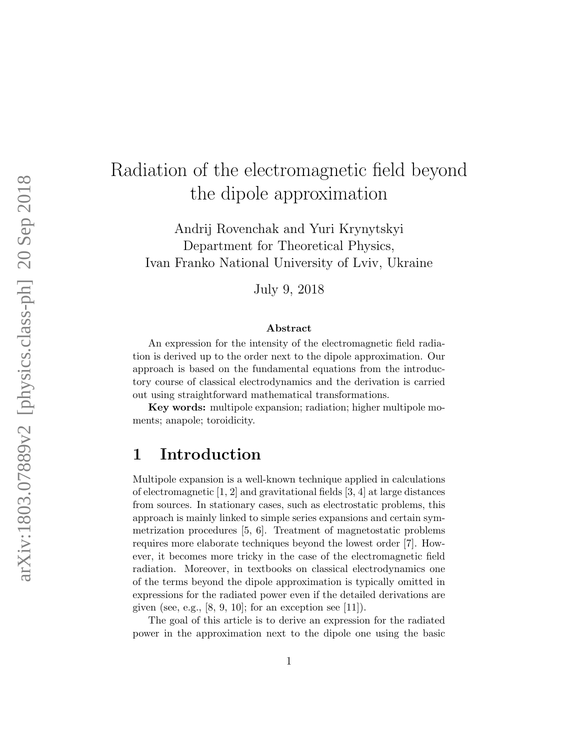# Radiation of the electromagnetic field beyond the dipole approximation

Andrij Rovenchak and Yuri Krynytskyi Department for Theoretical Physics, Ivan Franko National University of Lviv, Ukraine

July 9, 2018

#### Abstract

An expression for the intensity of the electromagnetic field radiation is derived up to the order next to the dipole approximation. Our approach is based on the fundamental equations from the introductory course of classical electrodynamics and the derivation is carried out using straightforward mathematical transformations.

Key words: multipole expansion; radiation; higher multipole moments; anapole; toroidicity.

### 1 Introduction

Multipole expansion is a well-known technique applied in calculations of electromagnetic [1, 2] and gravitational fields [3, 4] at large distances from sources. In stationary cases, such as electrostatic problems, this approach is mainly linked to simple series expansions and certain symmetrization procedures [5, 6]. Treatment of magnetostatic problems requires more elaborate techniques beyond the lowest order [7]. However, it becomes more tricky in the case of the electromagnetic field radiation. Moreover, in textbooks on classical electrodynamics one of the terms beyond the dipole approximation is typically omitted in expressions for the radiated power even if the detailed derivations are given (see, e.g.,  $[8, 9, 10]$ ; for an exception see  $[11]$ ).

The goal of this article is to derive an expression for the radiated power in the approximation next to the dipole one using the basic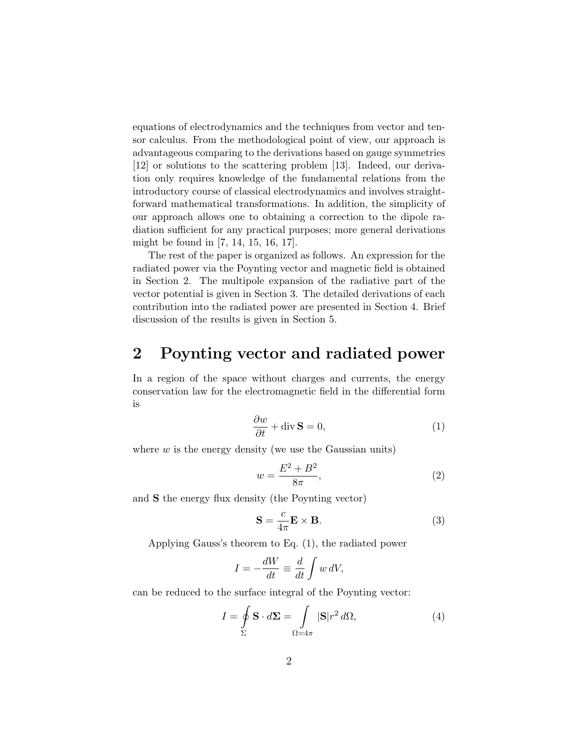equations of electrodynamics and the techniques from vector and tensor calculus. From the methodological point of view, our approach is advantageous comparing to the derivations based on gauge symmetries [12] or solutions to the scattering problem [13]. Indeed, our derivation only requires knowledge of the fundamental relations from the introductory course of classical electrodynamics and involves straightforward mathematical transformations. In addition, the simplicity of our approach allows one to obtaining a correction to the dipole radiation sufficient for any practical purposes; more general derivations might be found in [7, 14, 15, 16, 17].

The rest of the paper is organized as follows. An expression for the radiated power via the Poynting vector and magnetic field is obtained in Section 2. The multipole expansion of the radiative part of the vector potential is given in Section 3. The detailed derivations of each contribution into the radiated power are presented in Section 4. Brief discussion of the results is given in Section 5.

### 2 Poynting vector and radiated power

In a region of the space without charges and currents, the energy conservation law for the electromagnetic field in the differential form is

$$
\frac{\partial w}{\partial t} + \text{div } \mathbf{S} = 0,\tag{1}
$$

where  $w$  is the energy density (we use the Gaussian units)

$$
w = \frac{E^2 + B^2}{8\pi},\tag{2}
$$

and S the energy flux density (the Poynting vector)

$$
\mathbf{S} = \frac{c}{4\pi} \mathbf{E} \times \mathbf{B}.
$$
 (3)

Applying Gauss's theorem to Eq. (1), the radiated power

$$
I = -\frac{dW}{dt} \equiv \frac{d}{dt} \int w \, dV,
$$

can be reduced to the surface integral of the Poynting vector:

$$
I = \oint_{\Sigma} \mathbf{S} \cdot d\mathbf{\Sigma} = \int_{\Omega = 4\pi} |\mathbf{S}| r^2 d\Omega, \tag{4}
$$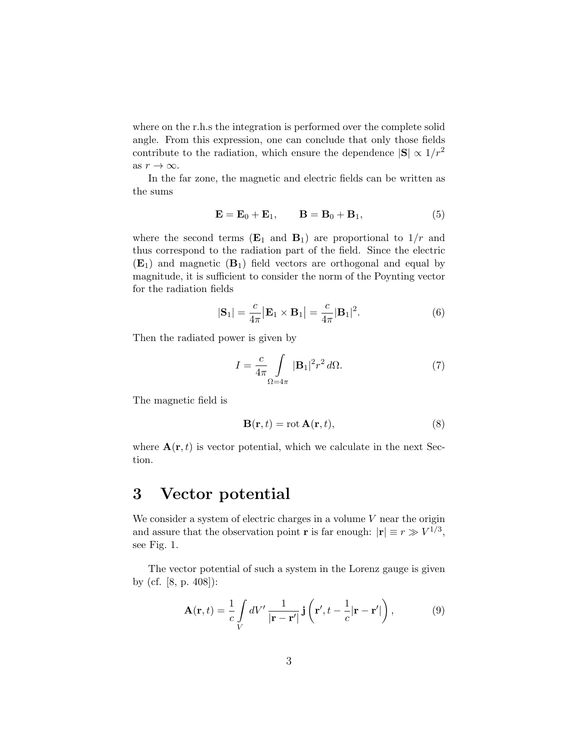where on the r.h.s the integration is performed over the complete solid angle. From this expression, one can conclude that only those fields contribute to the radiation, which ensure the dependence  $|\mathbf{S}| \propto 1/r^2$ as  $r \to \infty$ .

In the far zone, the magnetic and electric fields can be written as the sums

$$
\mathbf{E} = \mathbf{E}_0 + \mathbf{E}_1, \qquad \mathbf{B} = \mathbf{B}_0 + \mathbf{B}_1,\tag{5}
$$

where the second terms  $(E_1 \text{ and } B_1)$  are proportional to  $1/r$  and thus correspond to the radiation part of the field. Since the electric  $(E_1)$  and magnetic  $(B_1)$  field vectors are orthogonal and equal by magnitude, it is sufficient to consider the norm of the Poynting vector for the radiation fields

$$
|\mathbf{S}_1| = \frac{c}{4\pi} |\mathbf{E}_1 \times \mathbf{B}_1| = \frac{c}{4\pi} |\mathbf{B}_1|^2.
$$
 (6)

Then the radiated power is given by

$$
I = \frac{c}{4\pi} \int_{\Omega = 4\pi} |\mathbf{B}_1|^2 r^2 d\Omega.
$$
 (7)

The magnetic field is

$$
\mathbf{B}(\mathbf{r},t) = \operatorname{rot}\mathbf{A}(\mathbf{r},t),\tag{8}
$$

where  $\mathbf{A}(\mathbf{r},t)$  is vector potential, which we calculate in the next Section.

### 3 Vector potential

We consider a system of electric charges in a volume  $V$  near the origin and assure that the observation point **r** is far enough:  $|\mathbf{r}| \equiv r \gg V^{1/3}$ , see Fig. 1.

The vector potential of such a system in the Lorenz gauge is given by (cf. [8, p. 408]):

$$
\mathbf{A}(\mathbf{r},t) = \frac{1}{c} \int\limits_V dV' \, \frac{1}{|\mathbf{r} - \mathbf{r}'|} \, \mathbf{j} \left( \mathbf{r}', t - \frac{1}{c} |\mathbf{r} - \mathbf{r}'| \right),\tag{9}
$$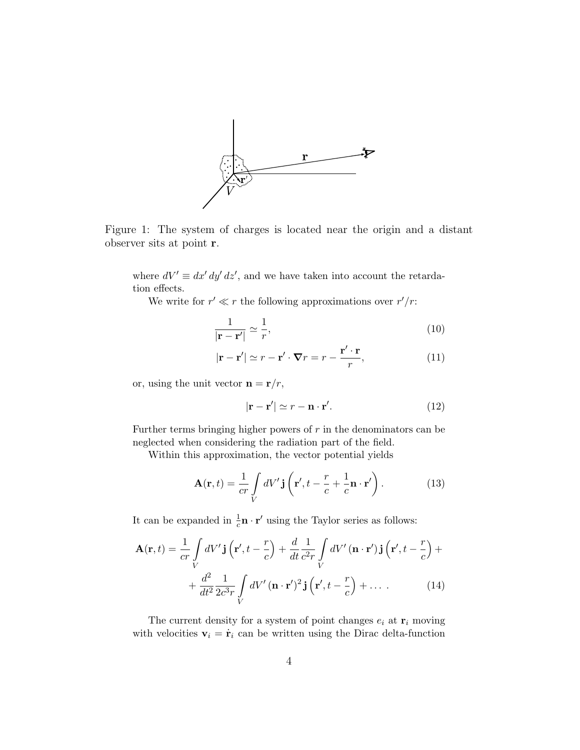

Figure 1: The system of charges is located near the origin and a distant observer sits at point r.

where  $dV' \equiv dx' dy' dz'$ , and we have taken into account the retardation effects.

We write for  $r' \ll r$  the following approximations over  $r'/r$ :

$$
\frac{1}{|\mathbf{r} - \mathbf{r}'|} \simeq \frac{1}{r},\tag{10}
$$

$$
|\mathbf{r} - \mathbf{r}'| \simeq r - \mathbf{r}' \cdot \nabla r = r - \frac{\mathbf{r}' \cdot \mathbf{r}}{r},\tag{11}
$$

or, using the unit vector  $\mathbf{n} = \mathbf{r}/r$ ,

$$
|\mathbf{r} - \mathbf{r}'| \simeq r - \mathbf{n} \cdot \mathbf{r}'. \tag{12}
$$

Further terms bringing higher powers of  $r$  in the denominators can be neglected when considering the radiation part of the field.

Within this approximation, the vector potential yields

$$
\mathbf{A}(\mathbf{r},t) = \frac{1}{cr} \int\limits_V dV' \mathbf{j} \left( \mathbf{r}', t - \frac{r}{c} + \frac{1}{c} \mathbf{n} \cdot \mathbf{r}' \right). \tag{13}
$$

It can be expanded in  $\frac{1}{c} \mathbf{n} \cdot \mathbf{r}'$  using the Taylor series as follows:

$$
\mathbf{A}(\mathbf{r},t) = \frac{1}{cr} \int_{V} dV' \mathbf{j} \left(\mathbf{r}',t-\frac{r}{c}\right) + \frac{d}{dt} \frac{1}{c^2 r} \int_{V} dV' \left(\mathbf{n} \cdot \mathbf{r}'\right) \mathbf{j} \left(\mathbf{r}',t-\frac{r}{c}\right) + + \frac{d^2}{dt^2} \frac{1}{2c^3 r} \int_{V} dV' \left(\mathbf{n} \cdot \mathbf{r}'\right)^2 \mathbf{j} \left(\mathbf{r}',t-\frac{r}{c}\right) + \dots
$$
(14)

The current density for a system of point changes  $e_i$  at  $r_i$  moving with velocities  $\mathbf{v}_i = \dot{\mathbf{r}}_i$  can be written using the Dirac delta-function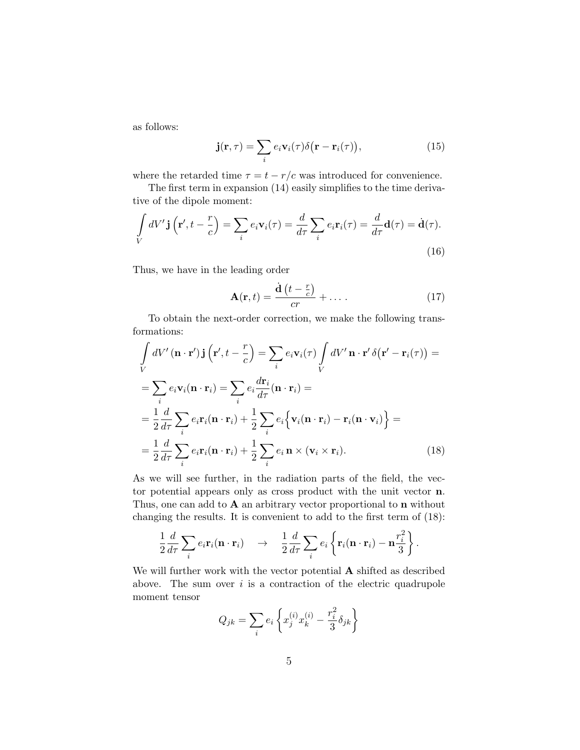as follows:

$$
\mathbf{j}(\mathbf{r},\tau) = \sum_{i} e_i \mathbf{v}_i(\tau) \delta(\mathbf{r} - \mathbf{r}_i(\tau)), \qquad (15)
$$

where the retarded time  $\tau = t - r/c$  was introduced for convenience.

The first term in expansion (14) easily simplifies to the time derivative of the dipole moment:

$$
\int_{V} dV' \mathbf{j} \left( \mathbf{r}', t - \frac{r}{c} \right) = \sum_{i} e_{i} \mathbf{v}_{i}(\tau) = \frac{d}{d\tau} \sum_{i} e_{i} \mathbf{r}_{i}(\tau) = \frac{d}{d\tau} \mathbf{d}(\tau) = \dot{\mathbf{d}}(\tau).
$$
\n(16)

Thus, we have in the leading order

$$
\mathbf{A}(\mathbf{r},t) = \frac{\dot{\mathbf{d}}\left(t - \frac{r}{c}\right)}{cr} + \dots \,. \tag{17}
$$

To obtain the next-order correction, we make the following transformations:

$$
\int_{V} dV' (\mathbf{n} \cdot \mathbf{r}') \mathbf{j} (\mathbf{r}', t - \frac{r}{c}) = \sum_{i} e_{i} \mathbf{v}_{i}(\tau) \int_{V} dV' \mathbf{n} \cdot \mathbf{r}' \delta(\mathbf{r}' - \mathbf{r}_{i}(\tau)) =
$$
\n
$$
= \sum_{i} e_{i} \mathbf{v}_{i} (\mathbf{n} \cdot \mathbf{r}_{i}) = \sum_{i} e_{i} \frac{d\mathbf{r}_{i}}{d\tau} (\mathbf{n} \cdot \mathbf{r}_{i}) =
$$
\n
$$
= \frac{1}{2} \frac{d}{d\tau} \sum_{i} e_{i} \mathbf{r}_{i} (\mathbf{n} \cdot \mathbf{r}_{i}) + \frac{1}{2} \sum_{i} e_{i} \left\{ \mathbf{v}_{i} (\mathbf{n} \cdot \mathbf{r}_{i}) - \mathbf{r}_{i} (\mathbf{n} \cdot \mathbf{v}_{i}) \right\} =
$$
\n
$$
= \frac{1}{2} \frac{d}{d\tau} \sum_{i} e_{i} \mathbf{r}_{i} (\mathbf{n} \cdot \mathbf{r}_{i}) + \frac{1}{2} \sum_{i} e_{i} \mathbf{n} \times (\mathbf{v}_{i} \times \mathbf{r}_{i}). \tag{18}
$$

As we will see further, in the radiation parts of the field, the vector potential appears only as cross product with the unit vector n. Thus, one can add to  $A$  an arbitrary vector proportional to  $n$  without changing the results. It is convenient to add to the first term of (18):

$$
\frac{1}{2}\frac{d}{d\tau}\sum_{i}e_{i}\mathbf{r}_{i}(\mathbf{n}\cdot\mathbf{r}_{i}) \quad \rightarrow \quad \frac{1}{2}\frac{d}{d\tau}\sum_{i}e_{i}\left\{\mathbf{r}_{i}(\mathbf{n}\cdot\mathbf{r}_{i})-\mathbf{n}\frac{r_{i}^{2}}{3}\right\}.
$$

We will further work with the vector potential A shifted as described above. The sum over  $i$  is a contraction of the electric quadrupole moment tensor

$$
Q_{jk} = \sum_{i} e_i \left\{ x_j^{(i)} x_k^{(i)} - \frac{r_i^2}{3} \delta_{jk} \right\}
$$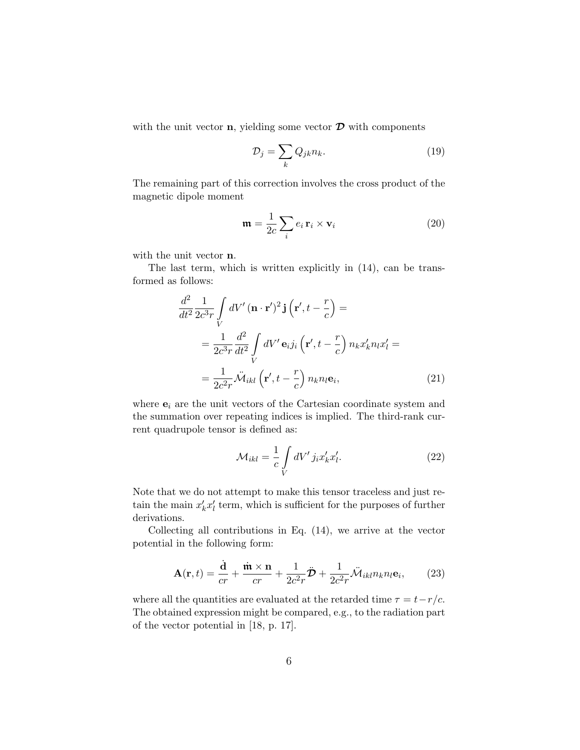with the unit vector  $\mathbf n$ , yielding some vector  $\mathcal D$  with components

$$
\mathcal{D}_j = \sum_k Q_{jk} n_k. \tag{19}
$$

The remaining part of this correction involves the cross product of the magnetic dipole moment

$$
\mathbf{m} = \frac{1}{2c} \sum_{i} e_i \mathbf{r}_i \times \mathbf{v}_i
$$
 (20)

with the unit vector n.

The last term, which is written explicitly in (14), can be transformed as follows:

$$
\frac{d^2}{dt^2} \frac{1}{2c^3r} \int\limits_V dV' (\mathbf{n} \cdot \mathbf{r}')^2 \mathbf{j} (\mathbf{r}', t - \frac{r}{c}) =
$$
\n
$$
= \frac{1}{2c^3r} \frac{d^2}{dt^2} \int\limits_V dV' \mathbf{e}_i j_i (\mathbf{r}', t - \frac{r}{c}) n_k x'_k n_l x'_l =
$$
\n
$$
= \frac{1}{2c^2r} \ddot{\mathcal{M}}_{ikl} (\mathbf{r}', t - \frac{r}{c}) n_k n_l \mathbf{e}_i,
$$
\n(21)

where  $\mathbf{e}_i$  are the unit vectors of the Cartesian coordinate system and the summation over repeating indices is implied. The third-rank current quadrupole tensor is defined as:

$$
\mathcal{M}_{ikl} = \frac{1}{c} \int\limits_{V} dV' j_i x'_k x'_l. \tag{22}
$$

Note that we do not attempt to make this tensor traceless and just retain the main  $x'_k x'_l$  term, which is sufficient for the purposes of further derivations.

Collecting all contributions in Eq. (14), we arrive at the vector potential in the following form:

$$
\mathbf{A}(\mathbf{r},t) = \frac{\dot{\mathbf{d}}}{cr} + \frac{\dot{\mathbf{m}} \times \mathbf{n}}{cr} + \frac{1}{2c^2r}\ddot{\mathcal{D}} + \frac{1}{2c^2r}\ddot{\mathcal{M}}_{ikl}n_kn_l\mathbf{e}_i,
$$
 (23)

where all the quantities are evaluated at the retarded time  $\tau = t - r/c$ . The obtained expression might be compared, e.g., to the radiation part of the vector potential in [18, p. 17].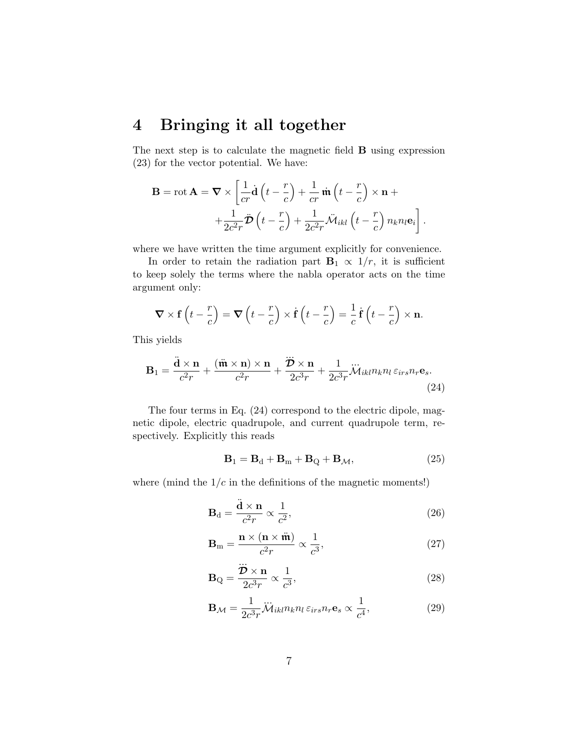## 4 Bringing it all together

The next step is to calculate the magnetic field B using expression (23) for the vector potential. We have:

$$
\mathbf{B} = \text{rot}\,\mathbf{A} = \nabla \times \left[ \frac{1}{cr} \dot{\mathbf{d}} \left( t - \frac{r}{c} \right) + \frac{1}{cr} \dot{\mathbf{m}} \left( t - \frac{r}{c} \right) \times \mathbf{n} + \right.
$$

$$
+ \frac{1}{2c^2 r} \dot{\mathcal{D}} \left( t - \frac{r}{c} \right) + \frac{1}{2c^2 r} \ddot{\mathcal{M}}_{ikl} \left( t - \frac{r}{c} \right) n_k n_l \mathbf{e}_i \right].
$$

where we have written the time argument explicitly for convenience.

In order to retain the radiation part  $\mathbf{B}_1 \propto 1/r$ , it is sufficient to keep solely the terms where the nabla operator acts on the time argument only:

$$
\nabla \times \mathbf{f}\left(t - \frac{r}{c}\right) = \nabla \left(t - \frac{r}{c}\right) \times \dot{\mathbf{f}}\left(t - \frac{r}{c}\right) = \frac{1}{c}\dot{\mathbf{f}}\left(t - \frac{r}{c}\right) \times \mathbf{n}.
$$

This yields

$$
\mathbf{B}_1 = \frac{\ddot{\mathbf{d}} \times \mathbf{n}}{c^2 r} + \frac{(\ddot{\mathbf{m}} \times \mathbf{n}) \times \mathbf{n}}{c^2 r} + \frac{\dddot{\mathbf{D}} \times \mathbf{n}}{2c^3 r} + \frac{1}{2c^3 r} \ddot{\mathcal{M}}_{ikl} n_k n_l \, \varepsilon_{irs} n_r \mathbf{e}_s. \tag{24}
$$

The four terms in Eq. (24) correspond to the electric dipole, magnetic dipole, electric quadrupole, and current quadrupole term, respectively. Explicitly this reads

$$
\mathbf{B}_1 = \mathbf{B}_d + \mathbf{B}_m + \mathbf{B}_Q + \mathbf{B}_{\mathcal{M}},\tag{25}
$$

where (mind the  $1/c$  in the definitions of the magnetic moments!)

$$
\mathbf{B}_{\mathrm{d}} = \frac{\ddot{\mathbf{d}} \times \mathbf{n}}{c^2 r} \propto \frac{1}{c^2},\tag{26}
$$

$$
\mathbf{B}_{\rm m} = \frac{\mathbf{n} \times (\mathbf{n} \times \ddot{\mathbf{m}})}{c^2 r} \propto \frac{1}{c^3},\tag{27}
$$

$$
\mathbf{B}_{\mathbf{Q}} = \frac{\dddot{\mathbf{D}} \times \mathbf{n}}{2c^3 r} \propto \frac{1}{c^3},\tag{28}
$$

$$
\mathbf{B}_{\mathcal{M}} = \frac{1}{2c^3r} \dddot{\mathcal{M}}_{ikl} n_k n_l \, \varepsilon_{irs} n_r \mathbf{e}_s \propto \frac{1}{c^4},\tag{29}
$$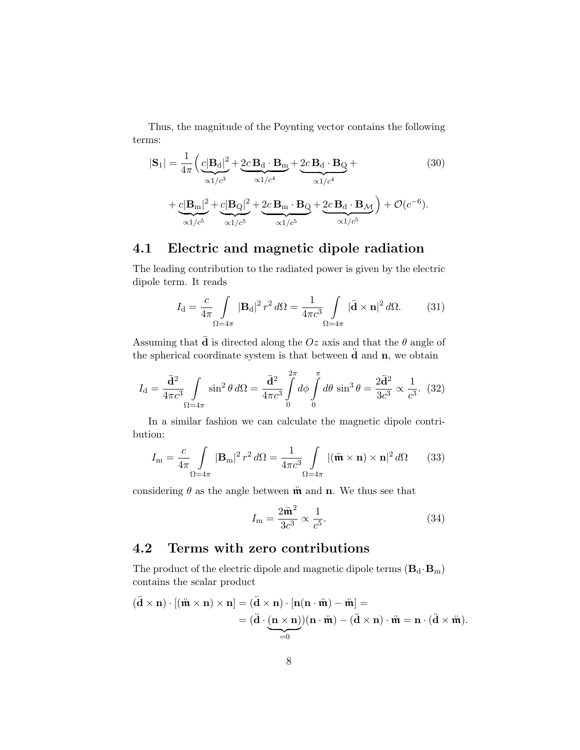Thus, the magnitude of the Poynting vector contains the following terms:

$$
|\mathbf{S}_1| = \frac{1}{4\pi} \Big( \underbrace{c|\mathbf{B}_d|^2}_{\propto 1/c^3} + \underbrace{2c \,\mathbf{B}_d \cdot \mathbf{B}_m}_{\propto 1/c^4} + \underbrace{2c \,\mathbf{B}_d \cdot \mathbf{B}_Q}_{\propto 1/c^4} + \underbrace{c|\mathbf{B}_m|^2}_{\propto 1/c^5} + \underbrace{c|\mathbf{B}_Q|^2}_{\propto 1/c^5} + \underbrace{2c \,\mathbf{B}_m \cdot \mathbf{B}_Q}_{\propto 1/c^5} + \underbrace{2c \,\mathbf{B}_d \cdot \mathbf{B}_M}_{\propto 1/c^5} \Big) + \mathcal{O}(c^{-6}).
$$
\n(30)

#### 4.1 Electric and magnetic dipole radiation

The leading contribution to the radiated power is given by the electric dipole term. It reads

$$
I_{\mathbf{d}} = \frac{c}{4\pi} \int_{\Omega = 4\pi} |\mathbf{B}_{\mathbf{d}}|^2 r^2 d\Omega = \frac{1}{4\pi c^3} \int_{\Omega = 4\pi} |\ddot{\mathbf{d}} \times \mathbf{n}|^2 d\Omega. \tag{31}
$$

Assuming that  $\ddot{\mathbf{d}}$  is directed along the  $Oz$  axis and that the  $\theta$  angle of the spherical coordinate system is that between  $\ddot{d}$  and  $n$ , we obtain

$$
I_{\rm d} = \frac{\ddot{d}^2}{4\pi c^3} \int_{\Omega = 4\pi} \sin^2 \theta \, d\Omega = \frac{\ddot{d}^2}{4\pi c^3} \int_0^{2\pi} d\phi \int_0^{\pi} d\theta \, \sin^3 \theta = \frac{2\ddot{d}^2}{3c^3} \propto \frac{1}{c^3}.\tag{32}
$$

In a similar fashion we can calculate the magnetic dipole contribution:

$$
I_{\rm m} = \frac{c}{4\pi} \int_{\Omega = 4\pi} |\mathbf{B}_{\rm m}|^2 r^2 d\Omega = \frac{1}{4\pi c^3} \int_{\Omega = 4\pi} |(\ddot{\mathbf{m}} \times \mathbf{n}) \times \mathbf{n}|^2 d\Omega \qquad (33)
$$

considering  $\theta$  as the angle between  $\ddot{\mathbf{m}}$  and  $\mathbf{n}$ . We thus see that

$$
I_{\rm m} = \frac{2\ddot{\mathfrak{m}}^2}{3c^3} \propto \frac{1}{c^5}.
$$
 (34)

### 4.2 Terms with zero contributions

The product of the electric dipole and magnetic dipole terms  $(\mathbf{B}_d \cdot \mathbf{B}_m)$ contains the scalar product

$$
(\ddot{d} \times n) \cdot [(\ddot{\mathbf{m}} \times \mathbf{n}) \times \mathbf{n}] = (\ddot{d} \times \mathbf{n}) \cdot [\mathbf{n}(\mathbf{n} \cdot \ddot{\mathbf{m}}) - \ddot{\mathbf{m}}] =
$$

$$
= (\ddot{d} \cdot (\mathbf{n} \times \mathbf{n}))(\mathbf{n} \cdot \ddot{\mathbf{m}}) - (\ddot{d} \times \mathbf{n}) \cdot \ddot{\mathbf{m}} = \mathbf{n} \cdot (\ddot{d} \times \ddot{\mathbf{m}}).
$$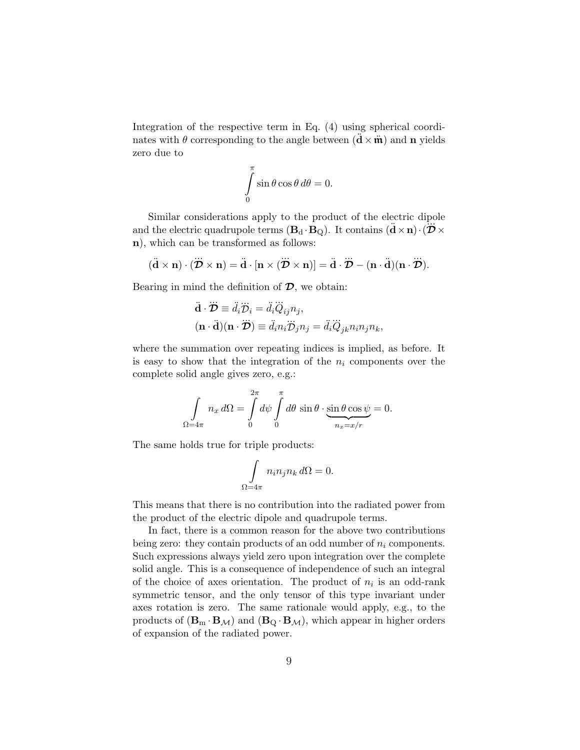Integration of the respective term in Eq. (4) using spherical coordinates with  $\theta$  corresponding to the angle between  $(d \times \ddot{\mathfrak{m}})$  and **n** yields zero due to

$$
\int_{0}^{\pi} \sin \theta \cos \theta \, d\theta = 0.
$$

Similar considerations apply to the product of the electric dipole and the electric quadrupole terms  $(\mathbf{B}_d \cdot \mathbf{B}_Q)$ . It contains  $(\ddot{\mathbf{d}} \times \mathbf{n}) \cdot (\dddot{\mathbf{D}} \times \mathbf{n})$ n), which can be transformed as follows:

$$
(\ddot{\mathbf{d}} \times \mathbf{n}) \cdot (\dddot{\mathbf{D}} \times \mathbf{n}) = \ddot{\mathbf{d}} \cdot [\mathbf{n} \times (\ddot{\mathbf{D}} \times \mathbf{n})] = \ddot{\mathbf{d}} \cdot \ddot{\mathbf{D}} - (\mathbf{n} \cdot \ddot{\mathbf{d}})(\mathbf{n} \cdot \ddot{\mathbf{D}}).
$$

Bearing in mind the definition of  $\mathcal{D}$ , we obtain:

$$
\ddot{\mathbf{d}} \cdot \dddot{\mathbf{D}} \equiv \ddot{d}_i \dddot{\mathbf{D}}_i = \ddot{d}_i \dddot{\mathbf{Q}}_{ij} n_j, \n(\mathbf{n} \cdot \ddot{\mathbf{d}})(\mathbf{n} \cdot \ddot{\mathbf{D}}) \equiv \ddot{d}_i n_i \dddot{\mathbf{D}}_j n_j = \ddot{d}_i \dddot{\mathbf{Q}}_{jk} n_i n_j n_k,
$$

where the summation over repeating indices is implied, as before. It is easy to show that the integration of the  $n_i$  components over the complete solid angle gives zero, e.g.:

$$
\int_{\Omega=4\pi} n_x \, d\Omega = \int_{0}^{2\pi} d\psi \int_{0}^{\pi} d\theta \, \sin \theta \cdot \underbrace{\sin \theta \cos \psi}_{n_x=x/r} = 0.
$$

The same holds true for triple products:

$$
\int_{\Omega=4\pi} n_i n_j n_k d\Omega = 0.
$$

This means that there is no contribution into the radiated power from the product of the electric dipole and quadrupole terms.

In fact, there is a common reason for the above two contributions being zero: they contain products of an odd number of  $n_i$  components. Such expressions always yield zero upon integration over the complete solid angle. This is a consequence of independence of such an integral of the choice of axes orientation. The product of  $n_i$  is an odd-rank symmetric tensor, and the only tensor of this type invariant under axes rotation is zero. The same rationale would apply, e.g., to the products of  $(\mathbf{B}_m \cdot \mathbf{B}_{\mathcal{M}})$  and  $(\mathbf{B}_Q \cdot \mathbf{B}_{\mathcal{M}})$ , which appear in higher orders of expansion of the radiated power.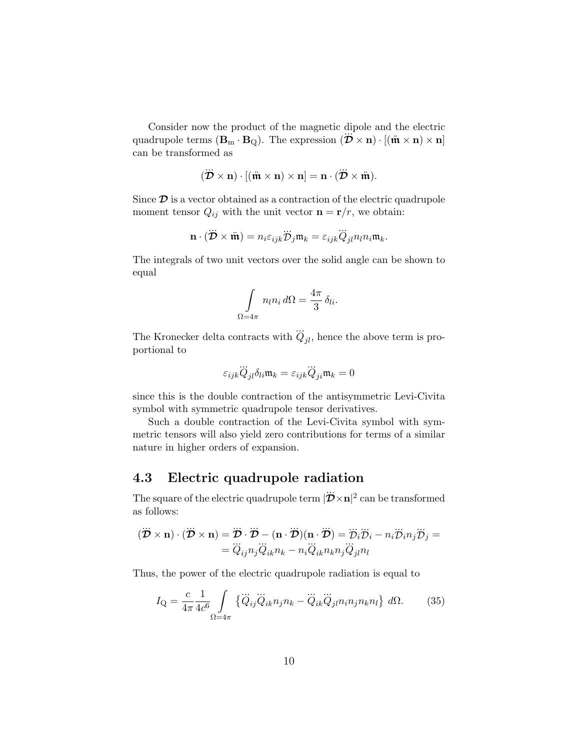Consider now the product of the magnetic dipole and the electric quadrupole terms  $(B_m \cdot B_Q)$ . The expression  $(\mathcal{D} \times n) \cdot [(\ddot{\mathfrak{m}} \times n) \times n]$ can be transformed as

$$
(\ddot{\mathcal{D}}\times\mathbf{n})\cdot[(\ddot{\mathbf{m}}\times\mathbf{n})\times\mathbf{n}]=\mathbf{n}\cdot(\ddot{\mathcal{D}}\times\ddot{\mathbf{m}}).
$$

Since  $\mathcal D$  is a vector obtained as a contraction of the electric quadrupole moment tensor  $Q_{ij}$  with the unit vector  $\mathbf{n} = \mathbf{r}/r$ , we obtain:

$$
\mathbf{n}\cdot(\dddot{\mathbf{\mathcal{D}}} \times \ddot{\mathbf{m}}) = n_i \varepsilon_{ijk} \dddot{\mathcal{D}}_j \mathfrak{m}_k = \varepsilon_{ijk} \dddot{Q}_j n_l n_i \mathfrak{m}_k.
$$

The integrals of two unit vectors over the solid angle can be shown to equal

$$
\int_{\Omega=4\pi} n_l n_i d\Omega = \frac{4\pi}{3} \delta_{li}.
$$

The Kronecker delta contracts with ...  $Q_{jl}$ , hence the above term is proportional to

$$
\varepsilon_{ijk}\dddot{Q}_{jl}\delta_{li}\mathfrak{m}_k = \varepsilon_{ijk}\ddot{Q}_{ji}\mathfrak{m}_k = 0
$$

since this is the double contraction of the antisymmetric Levi-Civita symbol with symmetric quadrupole tensor derivatives.

Such a double contraction of the Levi-Civita symbol with symmetric tensors will also yield zero contributions for terms of a similar nature in higher orders of expansion.

#### 4.3 Electric quadrupole radiation

The square of the electric quadrupole term | ...  $\ddot{\mathcal{D}} \times \mathbf{n}|^2$  can be transformed as follows:

$$
(\dddot{\mathbf{D}} \times \mathbf{n}) \cdot (\dddot{\mathbf{D}} \times \mathbf{n}) = \dddot{\mathbf{D}} \cdot \ddot{\mathbf{D}} - (\mathbf{n} \cdot \ddot{\mathbf{D}})(\mathbf{n} \cdot \dddot{\mathbf{D}}) = \dddot{\mathbf{D}}_i \dddot{\mathbf{D}}_i - n_i \dddot{\mathbf{D}}_i n_j \dddot{\mathbf{D}}_j =
$$
  
=  $\dddot{\mathbf{Q}}_{ij} n_j \dddot{\mathbf{Q}}_{ik} n_k - n_i \dddot{\mathbf{Q}}_{ik} n_k n_j \dddot{\mathbf{Q}}_{jl} n_l$ 

Thus, the power of the electric quadrupole radiation is equal to

$$
I_{\mathcal{Q}} = \frac{c}{4\pi} \frac{1}{4c^6} \int\limits_{\Omega = 4\pi} \left\{ \dddot{Q}_{ij} \dddot{Q}_{ik} n_j n_k - \ddot{Q}_{ik} \ddot{Q}_{jl} n_i n_j n_k n_l \right\} d\Omega. \tag{35}
$$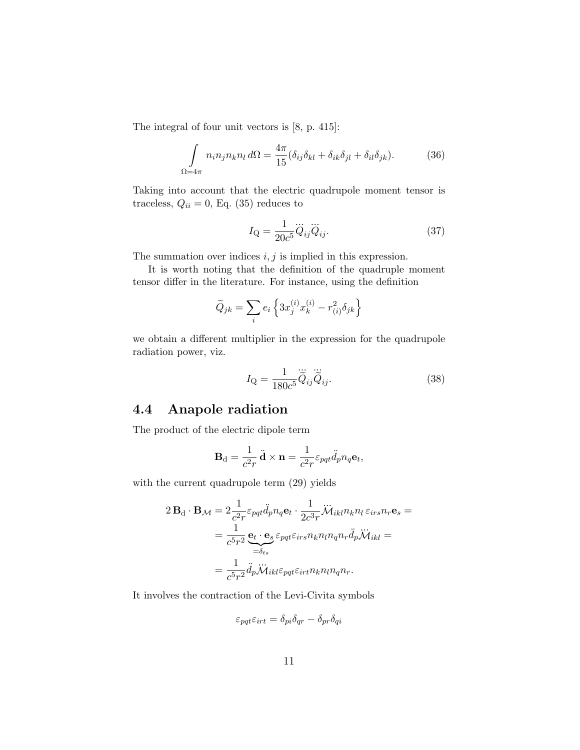The integral of four unit vectors is [8, p. 415]:

$$
\int_{\Omega=4\pi} n_i n_j n_k n_l d\Omega = \frac{4\pi}{15} (\delta_{ij}\delta_{kl} + \delta_{ik}\delta_{jl} + \delta_{il}\delta_{jk}).
$$
\n(36)

Taking into account that the electric quadrupole moment tensor is traceless,  $Q_{ii} = 0$ , Eq. (35) reduces to

$$
I_{\mathbf{Q}} = \frac{1}{20c^5} \dddot{Q}_{ij} \dddot{Q}_{ij}.
$$
 (37)

The summation over indices  $i, j$  is implied in this expression.

It is worth noting that the definition of the quadruple moment tensor differ in the literature. For instance, using the definition

$$
\widetilde{Q}_{jk} = \sum_{i} e_i \left\{ 3x_j^{(i)}x_k^{(i)} - r_{(i)}^2 \delta_{jk} \right\}
$$

we obtain a different multiplier in the expression for the quadrupole radiation power, viz.

$$
I_{\mathbf{Q}} = \frac{1}{180c^5} \dddot{\widetilde{Q}}_{ij} \dddot{\widetilde{Q}}_{ij}.
$$
 (38)

#### 4.4 Anapole radiation

The product of the electric dipole term

$$
\mathbf{B}_{\mathrm{d}} = \frac{1}{c^2 r} \ddot{\mathbf{d}} \times \mathbf{n} = \frac{1}{c^2 r} \varepsilon_{pqt} \ddot{d}_p n_q \mathbf{e}_t,
$$

with the current quadrupole term (29) yields

$$
2\mathbf{B}_{d} \cdot \mathbf{B}_{\mathcal{M}} = 2 \frac{1}{c^{2} r} \varepsilon_{pqt} \ddot{d}_{p} n_{q} \mathbf{e}_{t} \cdot \frac{1}{2 c^{3} r} \dddot{\mathcal{M}}_{ikl} n_{k} n_{l} \varepsilon_{irs} n_{r} \mathbf{e}_{s} =
$$
  

$$
= \frac{1}{c^{5} r^{2}} \underbrace{\mathbf{e}_{t} \cdot \mathbf{e}_{s}}_{=\delta_{ts}} \varepsilon_{pqt} \varepsilon_{irs} n_{k} n_{l} n_{q} n_{r} \ddot{d}_{p} \ddot{\mathcal{M}}_{ikl} =
$$
  

$$
= \frac{1}{c^{5} r^{2}} \ddot{d}_{p} \ddot{\mathcal{M}}_{ikl} \varepsilon_{pqt} \varepsilon_{irt} n_{k} n_{l} n_{q} n_{r}.
$$

It involves the contraction of the Levi-Civita symbols

$$
\varepsilon_{pqt}\varepsilon_{irt}=\delta_{pi}\delta_{qr}-\delta_{pr}\delta_{qi}
$$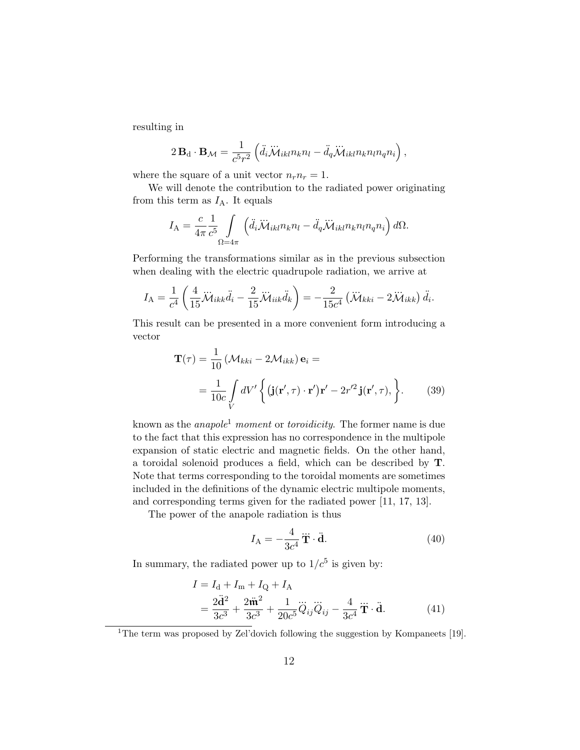resulting in

$$
2\mathbf{B}_{\mathrm{d}}\cdot\mathbf{B}_{\mathcal{M}}=\frac{1}{c^5r^2}\left(\ddot{d}_i\ddot{\mathcal{M}}_{ikl}n_kn_l-\ddot{d}_q\ddot{\mathcal{M}}_{ikl}n_kn_ln_qn_i\right),\,
$$

where the square of a unit vector  $n_r n_r = 1$ .

We will denote the contribution to the radiated power originating from this term as  $I_A$ . It equals

$$
I_{\mathcal{A}} = \frac{c}{4\pi} \frac{1}{c^5} \int_{\Omega = 4\pi} \left( \ddot{d}_i \ddot{\mathcal{M}}_{ikl} n_k n_l - \ddot{d}_q \ddot{\mathcal{M}}_{ikl} n_k n_l n_q n_i \right) d\Omega.
$$

Performing the transformations similar as in the previous subsection when dealing with the electric quadrupole radiation, we arrive at

$$
I_{\rm A} = \frac{1}{c^4} \left( \frac{4}{15} \ddot{\mathcal{M}}_{ikk} \ddot{d}_i - \frac{2}{15} \ddot{\mathcal{M}}_{iik} \ddot{d}_k \right) = -\frac{2}{15c^4} \left( \ddot{\mathcal{M}}_{kki} - 2 \ddot{\mathcal{M}}_{ikk} \right) \ddot{d}_i.
$$

This result can be presented in a more convenient form introducing a vector

$$
\mathbf{T}(\tau) = \frac{1}{10} \left( \mathcal{M}_{kki} - 2\mathcal{M}_{ikk} \right) \mathbf{e}_i =
$$
  
= 
$$
\frac{1}{10c} \int_{V} dV' \left\{ (\mathbf{j}(\mathbf{r}', \tau) \cdot \mathbf{r}') \mathbf{r}' - 2r'^2 \mathbf{j}(\mathbf{r}', \tau), \right\}.
$$
 (39)

known as the *anapole*<sup>1</sup> moment or *toroidicity*. The former name is due to the fact that this expression has no correspondence in the multipole expansion of static electric and magnetic fields. On the other hand, a toroidal solenoid produces a field, which can be described by T. Note that terms corresponding to the toroidal moments are sometimes included in the definitions of the dynamic electric multipole moments, and corresponding terms given for the radiated power [11, 17, 13].

The power of the anapole radiation is thus

$$
I_{\rm A} = -\frac{4}{3c^4} \ddot{\mathbf{T}} \cdot \ddot{\mathbf{d}}.\tag{40}
$$

In summary, the radiated power up to  $1/c^5$  is given by:

$$
I = I_{\rm d} + I_{\rm m} + I_{\rm Q} + I_{\rm A}
$$
  
=  $\frac{2\ddot{\mathbf{d}}^2}{3c^3} + \frac{2\ddot{\mathbf{m}}^2}{3c^3} + \frac{1}{20c^5}\ddot{Q}_{ij}\ddot{Q}_{ij} - \frac{4}{3c^4}\ddot{\mathbf{T}} \cdot \ddot{\mathbf{d}}.$  (41)

<sup>1</sup>The term was proposed by Zel'dovich following the suggestion by Kompaneets [19].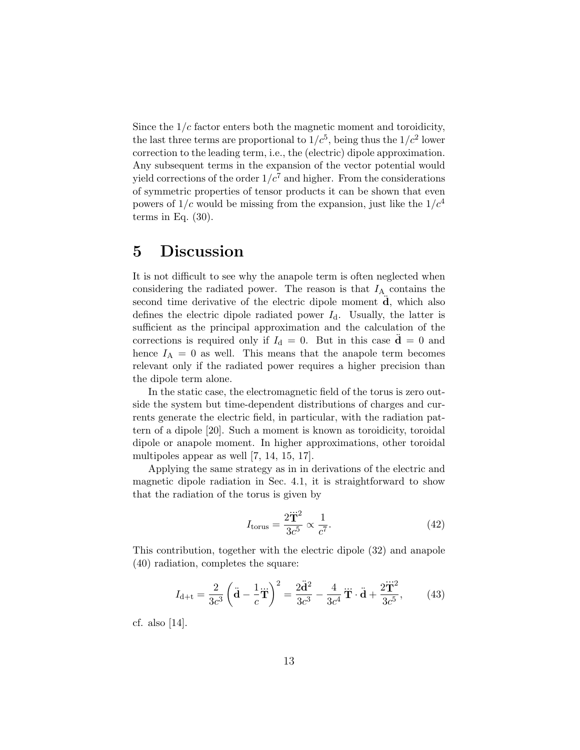Since the  $1/c$  factor enters both the magnetic moment and toroidicity, the last three terms are proportional to  $1/c^5$ , being thus the  $1/c^2$  lower correction to the leading term, i.e., the (electric) dipole approximation. Any subsequent terms in the expansion of the vector potential would yield corrections of the order  $1/c<sup>7</sup>$  and higher. From the considerations of symmetric properties of tensor products it can be shown that even powers of  $1/c$  would be missing from the expansion, just like the  $1/c<sup>4</sup>$ terms in Eq.  $(30)$ .

### 5 Discussion

It is not difficult to see why the anapole term is often neglected when considering the radiated power. The reason is that  $I_A$  contains the second time derivative of the electric dipole moment  $\mathbf{d}$ , which also defines the electric dipole radiated power  $I_d$ . Usually, the latter is sufficient as the principal approximation and the calculation of the corrections is required only if  $I_d = 0$ . But in this case  $\mathbf{d} = 0$  and hence  $I_A = 0$  as well. This means that the anapole term becomes relevant only if the radiated power requires a higher precision than the dipole term alone.

In the static case, the electromagnetic field of the torus is zero outside the system but time-dependent distributions of charges and currents generate the electric field, in particular, with the radiation pattern of a dipole [20]. Such a moment is known as toroidicity, toroidal dipole or anapole moment. In higher approximations, other toroidal multipoles appear as well [7, 14, 15, 17].

Applying the same strategy as in in derivations of the electric and magnetic dipole radiation in Sec. 4.1, it is straightforward to show that the radiation of the torus is given by

$$
I_{\text{torus}} = \frac{2\ddot{\mathbf{T}}^2}{3c^5} \propto \frac{1}{c^7}.
$$
 (42)

This contribution, together with the electric dipole (32) and anapole (40) radiation, completes the square:

$$
I_{d+t} = \frac{2}{3c^3} \left( \ddot{\mathbf{d}} - \frac{1}{c} \ddot{\mathbf{T}} \right)^2 = \frac{2 \ddot{\mathbf{d}}^2}{3c^3} - \frac{4}{3c^4} \ddot{\mathbf{T}} \cdot \ddot{\mathbf{d}} + \frac{2 \dddot{\mathbf{T}}^2}{3c^5},\tag{43}
$$

cf. also [14].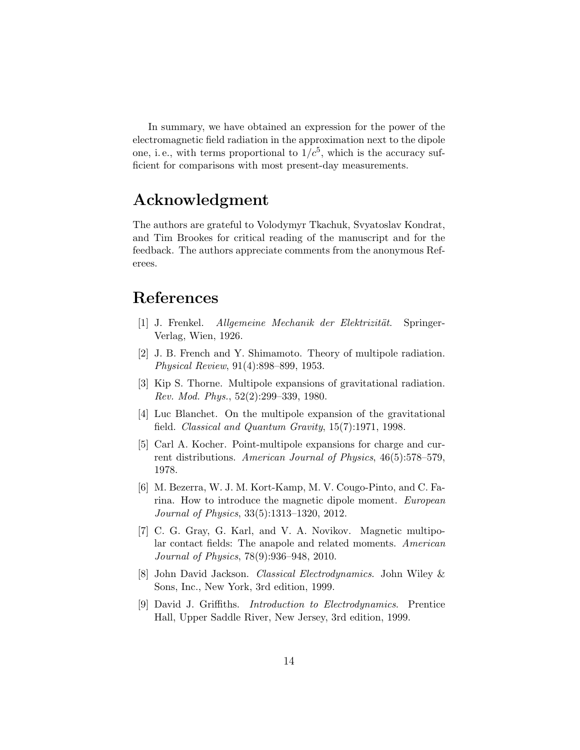In summary, we have obtained an expression for the power of the electromagnetic field radiation in the approximation next to the dipole one, i.e., with terms proportional to  $1/c^5$ , which is the accuracy sufficient for comparisons with most present-day measurements.

### Acknowledgment

The authors are grateful to Volodymyr Tkachuk, Svyatoslav Kondrat, and Tim Brookes for critical reading of the manuscript and for the feedback. The authors appreciate comments from the anonymous Referees.

### References

- [1] J. Frenkel. Allgemeine Mechanik der Elektrizität. Springer-Verlag, Wien, 1926.
- [2] J. B. French and Y. Shimamoto. Theory of multipole radiation. Physical Review, 91(4):898–899, 1953.
- [3] Kip S. Thorne. Multipole expansions of gravitational radiation. Rev. Mod. Phys., 52(2):299–339, 1980.
- [4] Luc Blanchet. On the multipole expansion of the gravitational field. Classical and Quantum Gravity, 15(7):1971, 1998.
- [5] Carl A. Kocher. Point-multipole expansions for charge and current distributions. American Journal of Physics, 46(5):578–579. 1978.
- [6] M. Bezerra, W. J. M. Kort-Kamp, M. V. Cougo-Pinto, and C. Farina. How to introduce the magnetic dipole moment. European Journal of Physics, 33(5):1313–1320, 2012.
- [7] C. G. Gray, G. Karl, and V. A. Novikov. Magnetic multipolar contact fields: The anapole and related moments. American Journal of Physics, 78(9):936–948, 2010.
- [8] John David Jackson. Classical Electrodynamics. John Wiley & Sons, Inc., New York, 3rd edition, 1999.
- [9] David J. Griffiths. Introduction to Electrodynamics. Prentice Hall, Upper Saddle River, New Jersey, 3rd edition, 1999.